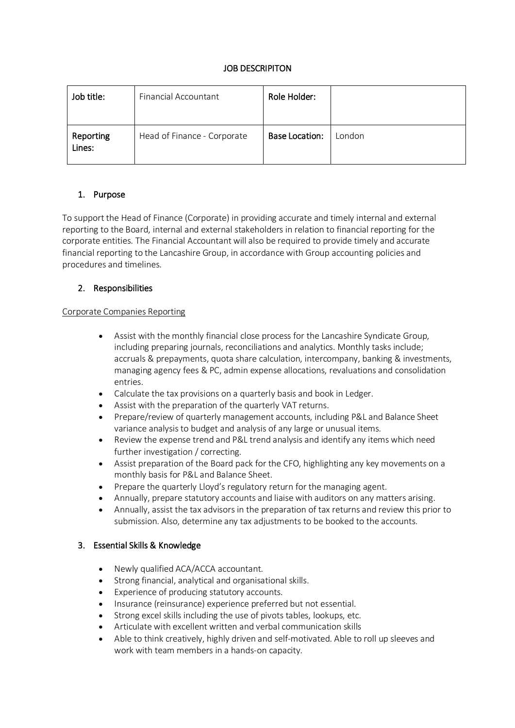### JOB DESCRIPITON

| Job title:          | Financial Accountant        | Role Holder:          |        |
|---------------------|-----------------------------|-----------------------|--------|
| Reporting<br>Lines: | Head of Finance - Corporate | <b>Base Location:</b> | London |

# 1. Purpose

To support the Head of Finance (Corporate) in providing accurate and timely internal and external reporting to the Board, internal and external stakeholders in relation to financial reporting for the corporate entities. The Financial Accountant will also be required to provide timely and accurate financial reporting to the Lancashire Group, in accordance with Group accounting policies and procedures and timelines.

# 2. Responsibilities

### Corporate Companies Reporting

- Assist with the monthly financial close process for the Lancashire Syndicate Group, including preparing journals, reconciliations and analytics. Monthly tasks include; accruals & prepayments, quota share calculation, intercompany, banking & investments, managing agency fees & PC, admin expense allocations, revaluations and consolidation entries.
- Calculate the tax provisions on a quarterly basis and book in Ledger.
- Assist with the preparation of the quarterly VAT returns.
- Prepare/review of quarterly management accounts, including P&L and Balance Sheet variance analysis to budget and analysis of any large or unusual items.
- Review the expense trend and P&L trend analysis and identify any items which need further investigation / correcting.
- Assist preparation of the Board pack for the CFO, highlighting any key movements on a monthly basis for P&L and Balance Sheet.
- Prepare the quarterly Lloyd's regulatory return for the managing agent.
- Annually, prepare statutory accounts and liaise with auditors on any matters arising.
- Annually, assist the tax advisors in the preparation of tax returns and review this prior to submission. Also, determine any tax adjustments to be booked to the accounts.

### 3. Essential Skills & Knowledge

- Newly qualified ACA/ACCA accountant.
- Strong financial, analytical and organisational skills.
- Experience of producing statutory accounts.
- Insurance (reinsurance) experience preferred but not essential.
- Strong excel skills including the use of pivots tables, lookups, etc.
- Articulate with excellent written and verbal communication skills
- Able to think creatively, highly driven and self-motivated. Able to roll up sleeves and work with team members in a hands-on capacity.